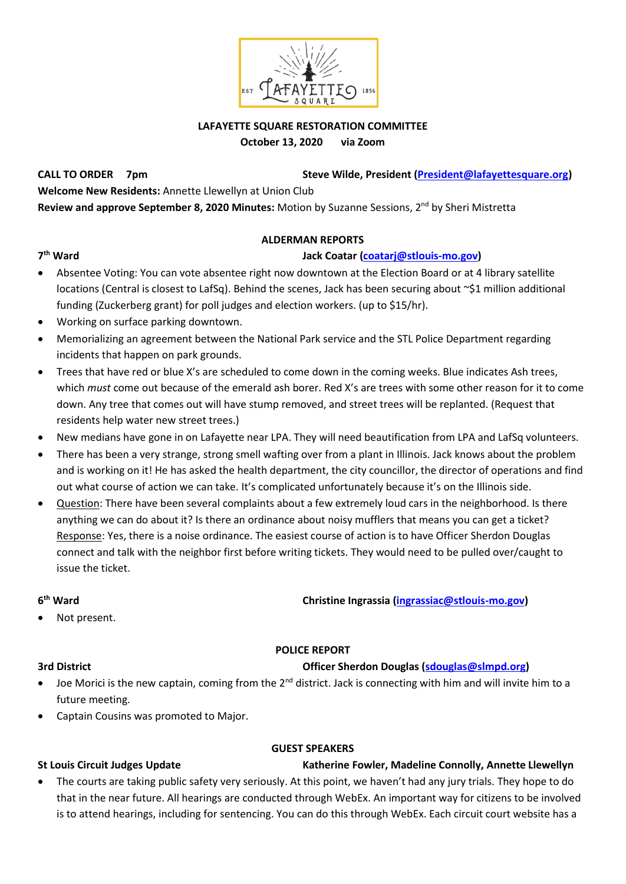

### **LAFAYETTE SQUARE RESTORATION COMMITTEE October 13, 2020 via Zoom**

CALL TO ORDER 7pm Steve Wilde, President (President @lafayettesquare.org) **Welcome New Residents:** Annette Llewellyn at Union Club **Review and approve September 8, 2020 Minutes:** Motion by Suzanne Sessions, 2nd by Sheri Mistretta

## **ALDERMAN REPORTS**

# **th Ward Jack Coatar [\(coatarj@stlouis-mo.gov\)](mailto:coatarj@stlouis-mo.gov)**

- Absentee Voting: You can vote absentee right now downtown at the Election Board or at 4 library satellite locations (Central is closest to LafSq). Behind the scenes, Jack has been securing about ~\$1 million additional funding (Zuckerberg grant) for poll judges and election workers. (up to \$15/hr).
- Working on surface parking downtown.
- Memorializing an agreement between the National Park service and the STL Police Department regarding incidents that happen on park grounds.
- Trees that have red or blue X's are scheduled to come down in the coming weeks. Blue indicates Ash trees, which *must* come out because of the emerald ash borer. Red X's are trees with some other reason for it to come down. Any tree that comes out will have stump removed, and street trees will be replanted. (Request that residents help water new street trees.)
- New medians have gone in on Lafayette near LPA. They will need beautification from LPA and LafSq volunteers.
- There has been a very strange, strong smell wafting over from a plant in Illinois. Jack knows about the problem and is working on it! He has asked the health department, the city councillor, the director of operations and find out what course of action we can take. It's complicated unfortunately because it's on the Illinois side.
- Question: There have been several complaints about a few extremely loud cars in the neighborhood. Is there anything we can do about it? Is there an ordinance about noisy mufflers that means you can get a ticket? Response: Yes, there is a noise ordinance. The easiest course of action is to have Officer Sherdon Douglas connect and talk with the neighbor first before writing tickets. They would need to be pulled over/caught to issue the ticket.

### **6**

# **Christine Ingrassia [\(ingrassiac@stlouis-mo.gov\)](mailto:ingrassiac@stlouis-mo.gov)**

Not present.

# **POLICE REPORT**

# **3rd District Officer Sherdon Douglas [\(sdouglas@slmpd.org\)](mailto:sdouglas@slmpd.org)**

- Joe Morici is the new captain, coming from the 2<sup>nd</sup> district. Jack is connecting with him and will invite him to a future meeting.
- Captain Cousins was promoted to Major.

### **GUEST SPEAKERS**

# **St Louis Circuit Judges Update Katherine Fowler, Madeline Connolly, Annette Llewellyn**

• The courts are taking public safety very seriously. At this point, we haven't had any jury trials. They hope to do that in the near future. All hearings are conducted through WebEx. An important way for citizens to be involved is to attend hearings, including for sentencing. You can do this through WebEx. Each circuit court website has a

### **7**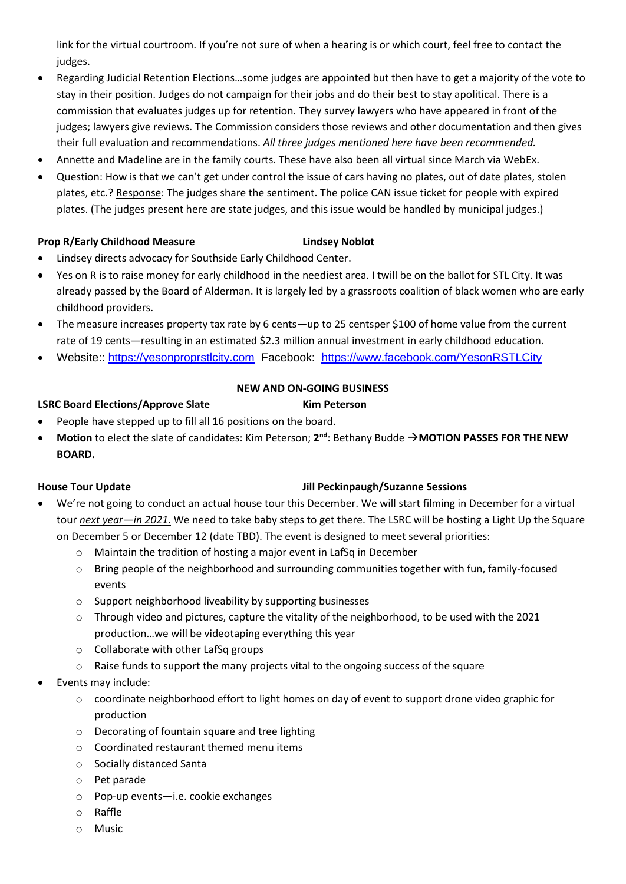link for the virtual courtroom. If you're not sure of when a hearing is or which court, feel free to contact the judges.

- Regarding Judicial Retention Elections…some judges are appointed but then have to get a majority of the vote to stay in their position. Judges do not campaign for their jobs and do their best to stay apolitical. There is a commission that evaluates judges up for retention. They survey lawyers who have appeared in front of the judges; lawyers give reviews. The Commission considers those reviews and other documentation and then gives their full evaluation and recommendations. *All three judges mentioned here have been recommended.*
- Annette and Madeline are in the family courts. These have also been all virtual since March via WebEx.
- Question: How is that we can't get under control the issue of cars having no plates, out of date plates, stolen plates, etc.? Response: The judges share the sentiment. The police CAN issue ticket for people with expired plates. (The judges present here are state judges, and this issue would be handled by municipal judges.)

### **Prop R/Early Childhood Measure Lindsey Noblot**

- Lindsey directs advocacy for Southside Early Childhood Center.
- Yes on R is to raise money for early childhood in the neediest area. I twill be on the ballot for STL City. It was already passed by the Board of Alderman. It is largely led by a grassroots coalition of black women who are early childhood providers.
- The measure increases property tax rate by 6 cents—up to 25 centsper \$100 of home value from the current rate of 19 cents—resulting in an estimated \$2.3 million annual investment in early childhood education.
- Website:: [https://yesonproprstlcity.com](https://yesonproprstlcity.com/) Facebook: <https://www.facebook.com/YesonRSTLCity>

# **NEW AND ON-GOING BUSINESS**

## **LSRC Board Elections/Approve Slate Kim Peterson**

- People have stepped up to fill all 16 positions on the board.
- **Motion** to elect the slate of candidates: Kim Peterson; 2<sup>nd</sup>: Bethany Budde → MOTION PASSES FOR THE NEW **BOARD.**

### **House Tour Update Jill Peckinpaugh/Suzanne Sessions**

- We're not going to conduct an actual house tour this December. We will start filming in December for a virtual tour *next year—in 2021.* We need to take baby steps to get there. The LSRC will be hosting a Light Up the Square on December 5 or December 12 (date TBD). The event is designed to meet several priorities:
	- o Maintain the tradition of hosting a major event in LafSq in December
	- o Bring people of the neighborhood and surrounding communities together with fun, family-focused events
	- o Support neighborhood liveability by supporting businesses
	- $\circ$  Through video and pictures, capture the vitality of the neighborhood, to be used with the 2021 production…we will be videotaping everything this year
	- o Collaborate with other LafSq groups
	- $\circ$  Raise funds to support the many projects vital to the ongoing success of the square
- Events may include:
	- o coordinate neighborhood effort to light homes on day of event to support drone video graphic for production
	- o Decorating of fountain square and tree lighting
	- o Coordinated restaurant themed menu items
	- o Socially distanced Santa
	- o Pet parade
	- o Pop-up events—i.e. cookie exchanges
	- o Raffle
	- o Music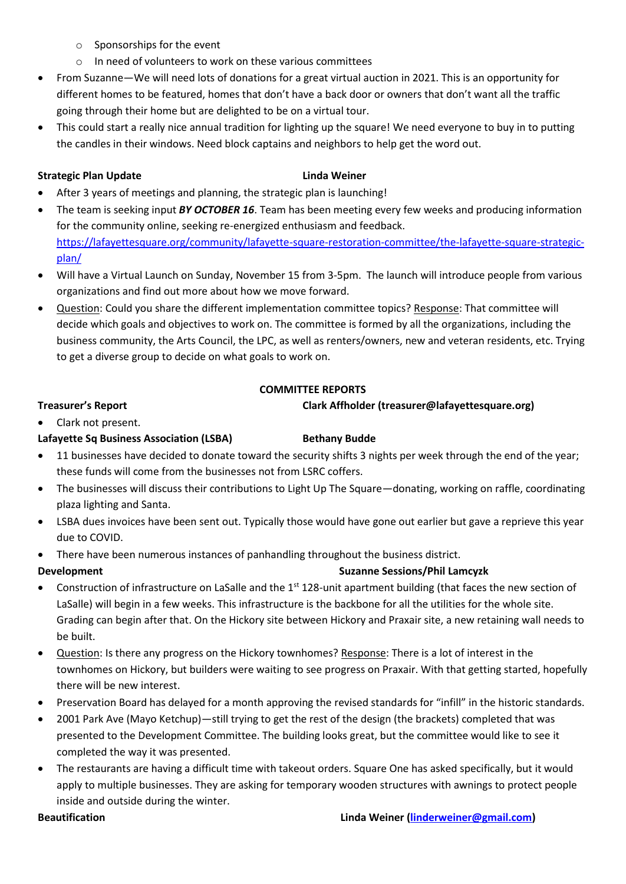- o Sponsorships for the event
- o In need of volunteers to work on these various committees
- From Suzanne—We will need lots of donations for a great virtual auction in 2021. This is an opportunity for different homes to be featured, homes that don't have a back door or owners that don't want all the traffic going through their home but are delighted to be on a virtual tour.
- This could start a really nice annual tradition for lighting up the square! We need everyone to buy in to putting the candles in their windows. Need block captains and neighbors to help get the word out.

### **Strategic Plan Update Linda Weiner**

- After 3 years of meetings and planning, the strategic plan is launching!
- The team is seeking input *BY OCTOBER 16*. Team has been meeting every few weeks and producing information for the community online, seeking re-energized enthusiasm and feedback. [https://lafayettesquare.org/community/lafayette-square-restoration-committee/the-lafayette-square-strategic](https://lafayettesquare.org/community/lafayette-square-restoration-committee/the-lafayette-square-strategic-plan/)[plan/](https://lafayettesquare.org/community/lafayette-square-restoration-committee/the-lafayette-square-strategic-plan/)
- Will have a Virtual Launch on Sunday, November 15 from 3-5pm. The launch will introduce people from various organizations and find out more about how we move forward.
- Question: Could you share the different implementation committee topics? Response: That committee will decide which goals and objectives to work on. The committee is formed by all the organizations, including the business community, the Arts Council, the LPC, as well as renters/owners, new and veteran residents, etc. Trying to get a diverse group to decide on what goals to work on.

### **COMMITTEE REPORTS**

### **Treasurer's Report Clark Affholder (treasurer@lafayettesquare.org)**

## • Clark not present.

# **Lafayette Sq Business Association (LSBA) <b>Bethany Budde**

- 11 businesses have decided to donate toward the security shifts 3 nights per week through the end of the year; these funds will come from the businesses not from LSRC coffers.
- The businesses will discuss their contributions to Light Up The Square—donating, working on raffle, coordinating plaza lighting and Santa.
- LSBA dues invoices have been sent out. Typically those would have gone out earlier but gave a reprieve this year due to COVID.
- There have been numerous instances of panhandling throughout the business district.
- **Development** Suzanne Sessions/Phil Lamcyzk **Suzanne Sessions/Phil Lamcyzk**
- Construction of infrastructure on LaSalle and the  $1<sup>st</sup> 128$ -unit apartment building (that faces the new section of LaSalle) will begin in a few weeks. This infrastructure is the backbone for all the utilities for the whole site. Grading can begin after that. On the Hickory site between Hickory and Praxair site, a new retaining wall needs to be built.
- Question: Is there any progress on the Hickory townhomes? Response: There is a lot of interest in the townhomes on Hickory, but builders were waiting to see progress on Praxair. With that getting started, hopefully there will be new interest.
- Preservation Board has delayed for a month approving the revised standards for "infill" in the historic standards.
- 2001 Park Ave (Mayo Ketchup)—still trying to get the rest of the design (the brackets) completed that was presented to the Development Committee. The building looks great, but the committee would like to see it completed the way it was presented.
- The restaurants are having a difficult time with takeout orders. Square One has asked specifically, but it would apply to multiple businesses. They are asking for temporary wooden structures with awnings to protect people inside and outside during the winter.

### **Beautification Linda Weiner [\(linderweiner@gmail.com\)](mailto:linderweiner@gmail.com)**